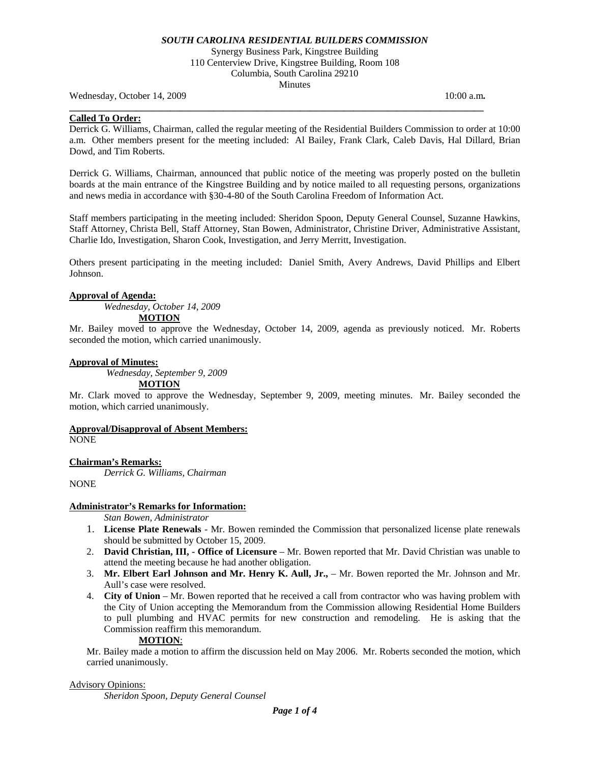Synergy Business Park, Kingstree Building 110 Centerview Drive, Kingstree Building, Room 108 Columbia, South Carolina 29210 Minutes

**\_\_\_\_\_\_\_\_\_\_\_\_\_\_\_\_\_\_\_\_\_\_\_\_\_\_\_\_\_\_\_\_\_\_\_\_\_\_\_\_\_\_\_\_\_\_\_\_\_\_\_\_\_\_\_\_\_\_\_\_\_\_\_\_\_\_\_\_\_\_\_\_\_\_\_\_\_\_\_\_\_\_\_\_\_\_** 

Wednesday, October 14, 2009 10:00 a.m. **10:00 a.m. 10:00 a.m. 10:00 a.m.** 

#### **Called To Order:**

Derrick G. Williams, Chairman, called the regular meeting of the Residential Builders Commission to order at 10:00 a.m. Other members present for the meeting included: Al Bailey, Frank Clark, Caleb Davis, Hal Dillard, Brian Dowd, and Tim Roberts.

Derrick G. Williams, Chairman, announced that public notice of the meeting was properly posted on the bulletin boards at the main entrance of the Kingstree Building and by notice mailed to all requesting persons, organizations and news media in accordance with §30-4-80 of the South Carolina Freedom of Information Act.

Staff members participating in the meeting included: Sheridon Spoon, Deputy General Counsel, Suzanne Hawkins, Staff Attorney, Christa Bell, Staff Attorney, Stan Bowen, Administrator, Christine Driver, Administrative Assistant, Charlie Ido, Investigation, Sharon Cook, Investigation, and Jerry Merritt, Investigation.

Others present participating in the meeting included: Daniel Smith, Avery Andrews, David Phillips and Elbert Johnson.

### **Approval of Agenda:**

*Wednesday, October 14, 2009* 

**MOTION**

Mr. Bailey moved to approve the Wednesday, October 14, 2009, agenda as previously noticed. Mr. Roberts seconded the motion, which carried unanimously.

#### **Approval of Minutes:**

*Wednesday, September 9, 2009* 

#### **MOTION**

Mr. Clark moved to approve the Wednesday, September 9, 2009, meeting minutes. Mr. Bailey seconded the motion, which carried unanimously.

### **Approval/Disapproval of Absent Members:**

NONE

### **Chairman's Remarks:**

*Derrick G. Williams, Chairman* 

**NONE** 

### **Administrator's Remarks for Information:**

 *Stan Bowen, Administrator* 

- 1. **License Plate Renewals** Mr. Bowen reminded the Commission that personalized license plate renewals should be submitted by October 15, 2009.
- 2. **David Christian, III, Office of Licensure** Mr. Bowen reported that Mr. David Christian was unable to attend the meeting because he had another obligation.
- 3. **Mr. Elbert Earl Johnson and Mr. Henry K. Aull, Jr.,** Mr. Bowen reported the Mr. Johnson and Mr. Aull's case were resolved.
- 4. **City of Union** Mr. Bowen reported that he received a call from contractor who was having problem with the City of Union accepting the Memorandum from the Commission allowing Residential Home Builders to pull plumbing and HVAC permits for new construction and remodeling. He is asking that the Commission reaffirm this memorandum.

# **MOTION**:

Mr. Bailey made a motion to affirm the discussion held on May 2006. Mr. Roberts seconded the motion, which carried unanimously.

### Advisory Opinions:

*Sheridon Spoon, Deputy General Counsel*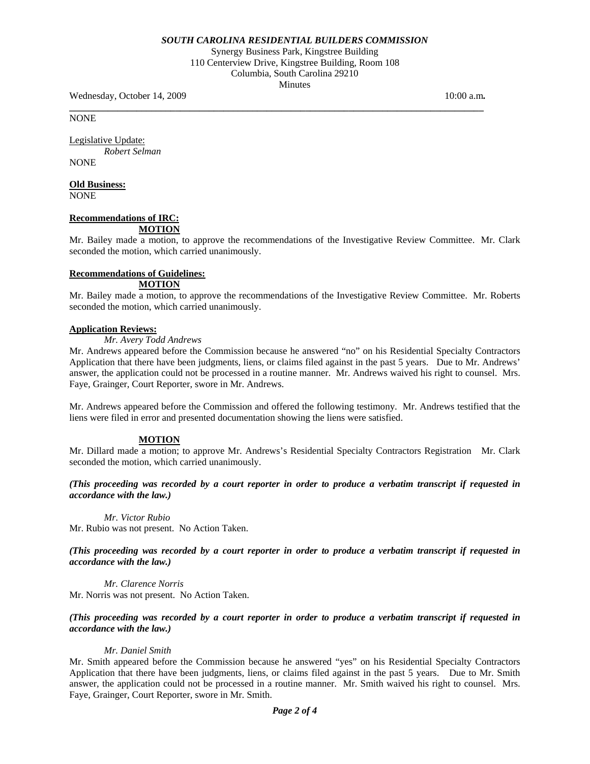Synergy Business Park, Kingstree Building 110 Centerview Drive, Kingstree Building, Room 108 Columbia, South Carolina 29210 Minutes

**\_\_\_\_\_\_\_\_\_\_\_\_\_\_\_\_\_\_\_\_\_\_\_\_\_\_\_\_\_\_\_\_\_\_\_\_\_\_\_\_\_\_\_\_\_\_\_\_\_\_\_\_\_\_\_\_\_\_\_\_\_\_\_\_\_\_\_\_\_\_\_\_\_\_\_\_\_\_\_\_\_\_\_\_\_\_** 

Wednesday, October 14, 2009 10:00 a.m. **10:00 a.m. 10:00 a.m. 10:00 a.m.** 

NONE

Legislative Update: *Robert Selman* 

**NONE** 

# **Old Business:**

NONE

#### **Recommendations of IRC: MOTION**

Mr. Bailey made a motion, to approve the recommendations of the Investigative Review Committee. Mr. Clark seconded the motion, which carried unanimously.

# **Recommendations of Guidelines:**

### **MOTION**

Mr. Bailey made a motion, to approve the recommendations of the Investigative Review Committee. Mr. Roberts seconded the motion, which carried unanimously.

### **Application Reviews:**

# *Mr. Avery Todd Andrews*

Mr. Andrews appeared before the Commission because he answered "no" on his Residential Specialty Contractors Application that there have been judgments, liens, or claims filed against in the past 5 years. Due to Mr. Andrews' answer, the application could not be processed in a routine manner. Mr. Andrews waived his right to counsel. Mrs. Faye, Grainger, Court Reporter, swore in Mr. Andrews.

Mr. Andrews appeared before the Commission and offered the following testimony. Mr. Andrews testified that the liens were filed in error and presented documentation showing the liens were satisfied.

# **MOTION**

Mr. Dillard made a motion; to approve Mr. Andrews's Residential Specialty Contractors Registration Mr. Clark seconded the motion, which carried unanimously.

### *(This proceeding was recorded by a court reporter in order to produce a verbatim transcript if requested in accordance with the law.)*

*Mr. Victor Rubio*  Mr. Rubio was not present. No Action Taken.

*(This proceeding was recorded by a court reporter in order to produce a verbatim transcript if requested in accordance with the law.)* 

*Mr. Clarence Norris*  Mr. Norris was not present. No Action Taken.

### *(This proceeding was recorded by a court reporter in order to produce a verbatim transcript if requested in accordance with the law.)*

# *Mr. Daniel Smith*

Mr. Smith appeared before the Commission because he answered "yes" on his Residential Specialty Contractors Application that there have been judgments, liens, or claims filed against in the past 5 years. Due to Mr. Smith answer, the application could not be processed in a routine manner. Mr. Smith waived his right to counsel. Mrs. Faye, Grainger, Court Reporter, swore in Mr. Smith.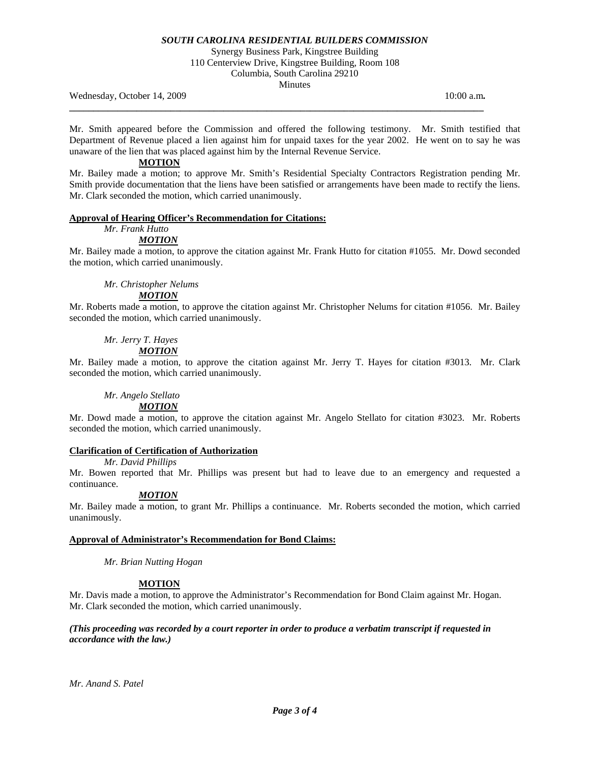Synergy Business Park, Kingstree Building

110 Centerview Drive, Kingstree Building, Room 108 Columbia, South Carolina 29210

Minutes

**\_\_\_\_\_\_\_\_\_\_\_\_\_\_\_\_\_\_\_\_\_\_\_\_\_\_\_\_\_\_\_\_\_\_\_\_\_\_\_\_\_\_\_\_\_\_\_\_\_\_\_\_\_\_\_\_\_\_\_\_\_\_\_\_\_\_\_\_\_\_\_\_\_\_\_\_\_\_\_\_\_\_\_\_\_\_** 

Wednesday, October 14, 2009 10:00 a.m. **10:00 a.m. 10:00 a.m. 10:00 a.m.** 

Mr. Smith appeared before the Commission and offered the following testimony. Mr. Smith testified that Department of Revenue placed a lien against him for unpaid taxes for the year 2002. He went on to say he was unaware of the lien that was placed against him by the Internal Revenue Service.

## **MOTION**

Mr. Bailey made a motion; to approve Mr. Smith's Residential Specialty Contractors Registration pending Mr. Smith provide documentation that the liens have been satisfied or arrangements have been made to rectify the liens. Mr. Clark seconded the motion, which carried unanimously.

### **Approval of Hearing Officer's Recommendation for Citations:**

#### *Mr. Frank Hutto MOTION*

Mr. Bailey made a motion, to approve the citation against Mr. Frank Hutto for citation #1055. Mr. Dowd seconded the motion, which carried unanimously.

# *Mr. Christopher Nelums*

# *MOTION*

Mr. Roberts made a motion, to approve the citation against Mr. Christopher Nelums for citation #1056. Mr. Bailey seconded the motion, which carried unanimously.

# *Mr. Jerry T. Hayes MOTION*

Mr. Bailey made a motion, to approve the citation against Mr. Jerry T. Hayes for citation #3013. Mr. Clark seconded the motion, which carried unanimously.

# *Mr. Angelo Stellato*

 *MOTION*

Mr. Dowd made a motion, to approve the citation against Mr. Angelo Stellato for citation #3023. Mr. Roberts seconded the motion, which carried unanimously.

# **Clarification of Certification of Authorization**

 *Mr. David Phillips* 

Mr. Bowen reported that Mr. Phillips was present but had to leave due to an emergency and requested a continuance.

# *MOTION*

Mr. Bailey made a motion, to grant Mr. Phillips a continuance. Mr. Roberts seconded the motion, which carried unanimously.

### **Approval of Administrator's Recommendation for Bond Claims:**

*Mr. Brian Nutting Hogan* 

# **MOTION**

Mr. Davis made a motion, to approve the Administrator's Recommendation for Bond Claim against Mr. Hogan. Mr. Clark seconded the motion, which carried unanimously.

### *(This proceeding was recorded by a court reporter in order to produce a verbatim transcript if requested in accordance with the law.)*

*Mr. Anand S. Patel*